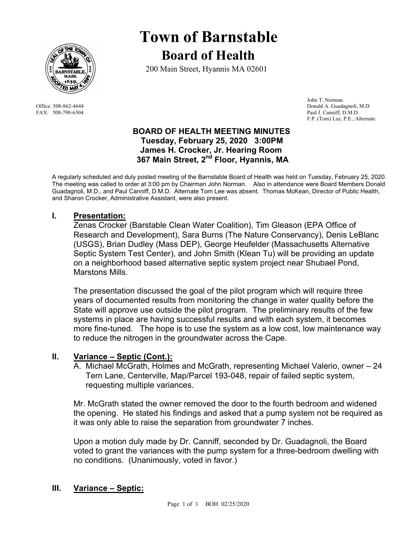

# **Town of Barnstable Board of Health**

200 Main Street, Hyannis MA 02601

 John T. Norman. Office: 508-862-4644 Donald A. Guadagnoli, M.D FAX: 508-790-6304 Paul J. Canniff, D.M.D. F.P. (Tom) Lee, P.E., Alternate

## **BOARD OF HEALTH MEETING MINUTES Tuesday, February 25, 2020 3:00PM James H. Crocker, Jr. Hearing Room**  367 Main Street, 2<sup>nd</sup> Floor, Hyannis, MA

A regularly scheduled and duly posted meeting of the Barnstable Board of Health was held on Tuesday, February 25, 2020. The meeting was called to order at 3:00 pm by Chairman John Norman. Also in attendance were Board Members Donald Guadagnoli, M.D., and Paul Canniff, D.M.D. Alternate Tom Lee was absent. Thomas McKean, Director of Public Health, and Sharon Crocker, Administrative Assistant, were also present.

# **I. Presentation:**

Zenas Crocker (Barstable Clean Water Coalition), Tim Gleason (EPA Office of Research and Development), Sara Burns (The Nature Conservancy), Denis LeBlanc (USGS), Brian Dudley (Mass DEP), George Heufelder (Massachusetts Alternative Septic System Test Center), and John Smith (Klean Tu) will be providing an update on a neighborhood based alternative septic system project near Shubael Pond, Marstons Mills.

The presentation discussed the goal of the pilot program which will require three years of documented results from monitoring the change in water quality before the State will approve use outside the pilot program. The preliminary results of the few systems in place are having successful results and with each system, it becomes more fine-tuned. The hope is to use the system as a low cost, low maintenance way to reduce the nitrogen in the groundwater across the Cape.

# **II. Variance – Septic (Cont.):**

A. Michael McGrath, Holmes and McGrath, representing Michael Valerio, owner – 24 Tern Lane, Centerville, Map/Parcel 193-048, repair of failed septic system, requesting multiple variances.

Mr. McGrath stated the owner removed the door to the fourth bedroom and widened the opening. He stated his findings and asked that a pump system not be required as it was only able to raise the separation from groundwater 7 inches.

Upon a motion duly made by Dr. Canniff, seconded by Dr. Guadagnoli, the Board voted to grant the variances with the pump system for a three-bedroom dwelling with no conditions. (Unanimously, voted in favor.)

### **III. Variance – Septic:**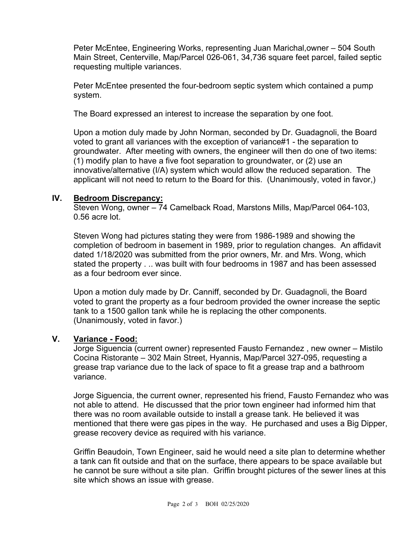Peter McEntee, Engineering Works, representing Juan Marichal,owner – 504 South Main Street, Centerville, Map/Parcel 026-061, 34,736 square feet parcel, failed septic requesting multiple variances.

Peter McEntee presented the four-bedroom septic system which contained a pump system.

The Board expressed an interest to increase the separation by one foot.

Upon a motion duly made by John Norman, seconded by Dr. Guadagnoli, the Board voted to grant all variances with the exception of variance#1 - the separation to groundwater. After meeting with owners, the engineer will then do one of two items: (1) modify plan to have a five foot separation to groundwater, or (2) use an innovative/alternative (I/A) system which would allow the reduced separation. The applicant will not need to return to the Board for this. (Unanimously, voted in favor,)

### **IV. Bedroom Discrepancy:**

Steven Wong, owner – 74 Camelback Road, Marstons Mills, Map/Parcel 064-103, 0.56 acre lot.

Steven Wong had pictures stating they were from 1986-1989 and showing the completion of bedroom in basement in 1989, prior to regulation changes. An affidavit dated 1/18/2020 was submitted from the prior owners, Mr. and Mrs. Wong, which stated the property . .. was built with four bedrooms in 1987 and has been assessed as a four bedroom ever since.

Upon a motion duly made by Dr. Canniff, seconded by Dr. Guadagnoli, the Board voted to grant the property as a four bedroom provided the owner increase the septic tank to a 1500 gallon tank while he is replacing the other components. (Unanimously, voted in favor.)

### **V. Variance - Food:**

Jorge Siguencia (current owner) represented Fausto Fernandez , new owner – Mistilo Cocina Ristorante – 302 Main Street, Hyannis, Map/Parcel 327-095, requesting a grease trap variance due to the lack of space to fit a grease trap and a bathroom variance.

Jorge Siguencia, the current owner, represented his friend, Fausto Fernandez who was not able to attend. He discussed that the prior town engineer had informed him that there was no room available outside to install a grease tank. He believed it was mentioned that there were gas pipes in the way. He purchased and uses a Big Dipper, grease recovery device as required with his variance.

Griffin Beaudoin, Town Engineer, said he would need a site plan to determine whether a tank can fit outside and that on the surface, there appears to be space available but he cannot be sure without a site plan. Griffin brought pictures of the sewer lines at this site which shows an issue with grease.